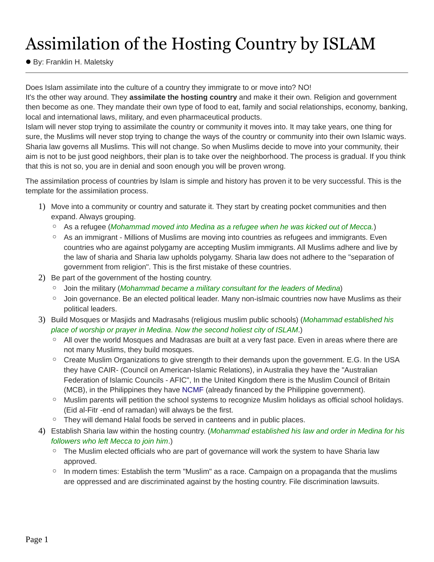# Assimilation of the Hosting Country by ISLAM

● By: Franklin H. Maletsky

Does Islam assimilate into the culture of a country they immigrate to or move into? NO!

It's the other way around. They **assimilate the hosting country** and make it their own. Religion and government then become as one. They mandate their own type of food to eat, family and social relationships, economy, banking, local and international laws, military, and even pharmaceutical products.

Islam will never stop trying to assimilate the country or community it moves into. It may take years, one thing for sure, the Muslims will never stop trying to change the ways of the country or community into their own Islamic ways. Sharia law governs all Muslims. This will not change. So when Muslims decide to move into your community, their aim is not to be just good neighbors, their plan is to take over the neighborhood. The process is gradual. If you think that this is not so, you are in denial and soon enough you will be proven wrong.

The assimilation process of countries by Islam is simple and history has proven it to be very successful. This is the template for the assimilation process.

- 1) Move into a community or country and saturate it. They start by creating pocket communities and then expand. Always grouping.
	- As a refugee (*Mohammad moved into Medina as a refugee when he was kicked out of Mecca.*)
	- As an immigrant Millions of Muslims are moving into countries as refugees and immigrants. Even countries who are against polygamy are accepting Muslim immigrants. All Muslims adhere and live by the law of sharia and Sharia law upholds polygamy. Sharia law does not adhere to the "separation of government from religion".This is the first mistake of these countries.
- 2) Be part of the government of the hosting country.
	- Jointhe military (*Mohammad became a military consultant for the leaders of Medina*)
	- Join governance. Be an elected political leader. Many non-islmaic countries now have Muslims as their political leaders.
- 3) Build Mosques or Masjids and Madrasahs (religious muslim public schools) (*Mohammad established his place of worship or prayer in Medina. Now the second holiest city of ISLAM*.)
	- All over the world Mosques and Madrasas are built at a very fast pace. Even in areas where there are not many Muslims, they build mosques.
	- Create Muslim Organizations to give strength to their demands upon the government. E.G. In the USA they have CAIR- (Council on American-Islamic Relations), in Australia they have the "Australian Federation of Islamic Councils - AFIC", In the United Kingdom there is the Muslim Council of Britain (MCB), in the Philippines they have NCMF (already financed by the Philippine government).
	- Muslim parents will petition the school systems to recognize Muslim holidays as official school holidays. (Eid al-Fitr -end of ramadan) will always be the first.
	- Theywill demand Halal foods be served in canteens and in public places.
- 4) Establish Sharia law within the hosting country. (*Mohammad established his law and order in Medina for his followers who left Mecca to join him*.)
	- The Muslim elected officials who are partof governance will work the system to have Sharia law approved.
	- In modern times: Establish the term "Muslim" as a race. Campaign on a propaganda that the muslims are oppressed and are discriminated against by the hosting country. File discrimination lawsuits.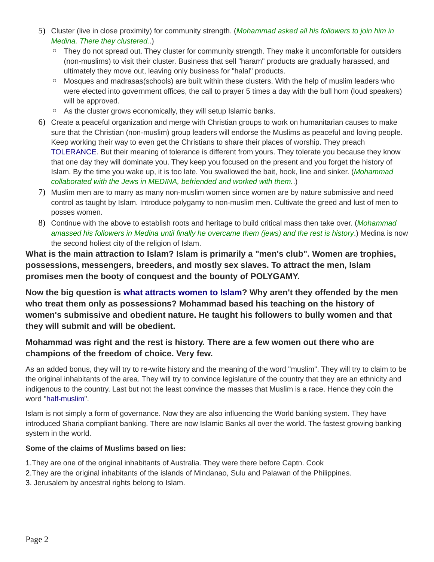- 5) Cluster (live in close proximity) for community strength. (*Mohammad asked all his followers to join him in Medina. There they clustered.*.)
	- Theydo not spread out. They cluster for community strength. They make it uncomfortable for outsiders (non-muslims) to visit their cluster. Business that sell "haram" products are gradually harassed, and ultimately they move out, leaving only business for "halal" products.
	- Mosques and madrasas(schools) are built within these clusters. With the help of muslim leaders who were elected into government offices, the call to prayer 5 times a day with the bull horn (loud speakers) will be approved.
	- As the cluster grows economically, they will setup Islamic banks.
- 6) Create a peaceful organization and merge with Christian groups to work on humanitarian causes to make sure that the Christian (non-muslim) group leaders will endorse the Muslims as peaceful and loving people. Keep working their way to even get the Christians to share their places of worship. They preach TOLERANCE. But their meaning of tolerance is different from yours. They tolerate you because they know that one day they will dominate you. They keep you focused on the present and you forget the history of Islam. By the time you wake up, it is too late. You swallowed the bait, hook, line and sinker. (*Mohammad collaborated with the Jews in MEDINA, befriended and worked with them.*.)
- 7) Muslim men are to marry as many non-muslim women since women are by nature submissive and need control as taught by Islam. Introduce polygamy to non-muslim men. Cultivate the greed and lust of men to posses women.
- 8) Continue with the above to establish roots and heritage to build critical mass then take over. (*Mohammad amassed his followers in Medina until finally he overcame them (jews) and the rest is history*.) Medina is now the second holiest city of the religion of Islam.

**What is the main attraction to Islam? Islam is primarily a "men's club". Women are trophies, possessions, messengers, breeders, and mostly sex slaves. To attract the men, Islam promises men the booty of conquest and the bounty of POLYGAMY.**

**Now the big question is what attracts women to Islam? Why aren't they offended by the men who treat them only as possessions? Mohammad based his teaching on the history of women's submissive and obedient nature. He taught his followers to bully women and that they will submit and will be obedient.**

#### **Mohammad was right and the rest is history. There are a few women out there who are champions of the freedom of choice. Very few.**

As an added bonus, they will try to re-write history and the meaning of the word "muslim". They will try to claim to be the original inhabitants of the area. They will try to convince legislature of the country that they are an ethnicity and indigenous to the country. Last but not the least convince the masses that Muslim is a race. Hence they coin the word "half-muslim".

Islam is not simply a form of governance. Now they are also influencing the World banking system. They have introduced Sharia compliant banking. There are now Islamic Banks all over the world. The fastest growing banking system in the world.

#### **Some of the claims of Muslims based on lies:**

- 1.They are one of the original inhabitants of Australia. They were there before Captn. Cook
- 2.They are the original inhabitants of the islands of Mindanao, Sulu and Palawan of the Philippines.
- 3. Jerusalem by ancestral rights belong to Islam.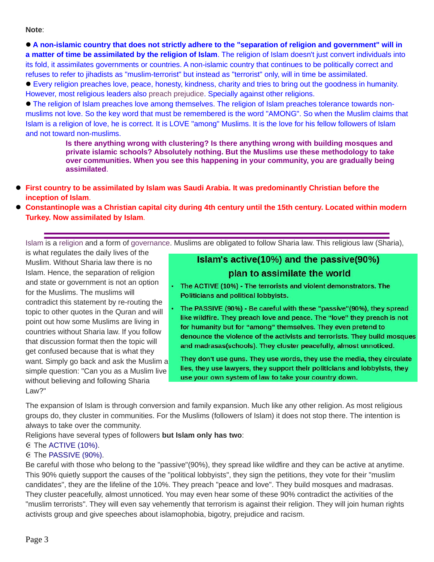**Note**:

A non-islamic country that does not strictly adhere to the "separation of religion and government" will in **a matter of time be assimilated by the religion of Islam**. The religion of Islam doesn't just convert individuals into its fold, it assimilates governments or countries. A non-islamic country that continues to be politically correct and refuses to refer to jihadists as "muslim-terrorist" but instead as "terrorist" only, will in time be assimilated.

 Every religion preaches love, peace, honesty, kindness, charity and tries to bring out the goodness in humanity. However, most religious leaders also preach prejudice. Specially against other religions.

 The religion of Islam preaches love among themselves. The religion of Islam preaches tolerance towards non muslims not love. So the key word that must be remembered is the word "AMONG". So when the Muslim claims that Islam is a religion of love, he is correct. It is LOVE "among" Muslims. It is the love for his fellow followers of Islam and not toward non-muslims.

> **Is there anything wrong with clustering? Is there anything wrong with building mosques and private islamic schools? Absolutely nothing. But the Muslims use these methodology to take over communities. When you see this happening in your community, you are gradually being assimilated**.

- **First country to be assimilated by Islam was Saudi Arabia. It was predominantly Christian before the inception of Islam**.
- **Constantinople was a Christian capital city during 4th century until the 15th century. Located within modern Turkey. Now assimilated by Islam**.

Islam is a religion and a form of governance. Muslims are obligated to follow Sharia law. This religious law (Sharia),

is what regulates the daily lives of the Muslim. Without Sharia law there is no Islam. Hence, the separation of religion for the Muslims. The muslims will Foliticians and political lobbyists.<br>
contradict this statement by re-routing the<br>
topic to other quotes in the Ouren and will<br> **The PASSIVE (90%) - Be careful with these "passive"(90%), they spread** that discussion format then the topic will want Simply go back and ask the Muslim and madrasas(schools). They cluster peacefully, almost unnoticed.<br>Want Simply go back and ask the Muslim and They don't use guns. They use words, they use the media, they circulate without believing and following Sharia Law?"

### Islam's active(10%) and the passive(90%) plan to assimilate the world

- and state or government is not an option . The ACTIVE (10%) The terrorists and violent demonstrators. The
- topic to other quotes in the Quran and will<br>like wildfire. They preach love and peace. The "love" they preach is not point out how some Muslims are living in **the main of the main of the predict over any predict** the love are pretend to countries without Sharia law. If you follow<br>denounce the violence of the activists and terrorists. They build mosques

want. Simply go back and ask the Muslim and **they don't use guns. They use words, they use the media, they circulate**<br>Eighthor and the Muslim live **and they use lawyers, they support their politicians and lobbyists, they** simple question: "Can you as a Muslim live **the state of lives, they are lawyers, they support their politicians and** 

The expansion of Islam is through conversion and family expansion. Much like any other religion. As most religious groups do, they cluster in communities. For the Muslims (followers of Islam) it does not stop there. The intention is always to take over the community.

Religions have several types of followers **but Islam only has two**:

#### ☪ The ACTIVE (10%).

#### ☪ The PASSIVE (90%).

Be careful with those who belong to the "passive"(90%), they spread like wildfire and they can be active at anytime. This 90% quietly support the causes of the "political lobbyists", they sign the petitions, they vote for their "muslim candidates", they are the lifeline of the 10%. They preach "peace and love". They build mosques and madrasas. They cluster peacefully, almost unnoticed. You may even hear some of these 90% contradict the activities of the "muslim terrorists". They will even say vehemently that terrorism is against their religion. They will join human rights activists group and give speeches about islamophobia, bigotry, prejudice and racism.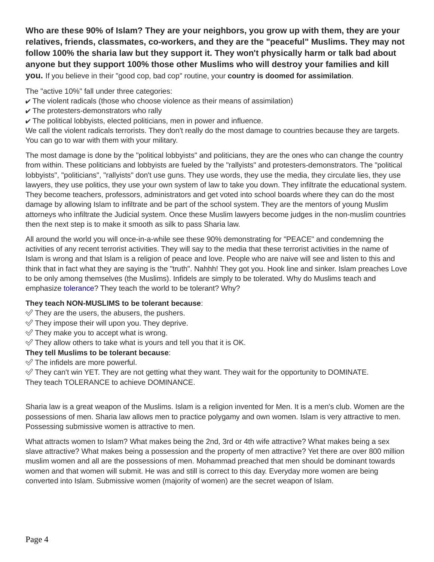**Who are these 90% of Islam? They are your neighbors, you grow up with them, they are your relatives, friends, classmates, co-workers, and they are the "peaceful" Muslims. They may not follow 100% the sharia law but they support it. They won't physically harm or talk bad about anyone but they support 100% those other Muslims who will destroy your families and kill**

**you.** If you believe in their "good cop, bad cop" routine, your **country is doomed for assimilation**.

The "active 10%" fall under three categories:

- $\checkmark$  The violent radicals (those who choose violence as their means of assimilation)
- $\checkmark$  The protesters-demonstrators who rally
- $\checkmark$  The political lobbyists, elected politicians, men in power and influence.

We call the violent radicals terrorists. They don't really do the most damage to countries because they are targets. You can go to war with them with your military.

The most damage is done by the "political lobbyists" and politicians, they are the ones who can change the country from within. These politicians and lobbyists are fueled by the "rallyists" and protesters-demonstrators. The "political lobbyists", "politicians", "rallyists" don't use guns. They use words, they use the media, they circulate lies, they use lawyers, they use politics, they use your own system of law to take you down. They infiltrate the educational system. They become teachers, professors, administrators and get voted into school boards where they can do the most damage by allowing Islam to infiltrate and be part of the school system. They are the mentors of young Muslim attorneys who infiltrate the Judicial system. Once these Muslim lawyers become judges in the non-muslim countries then the next step is to make it smooth as silk to pass Sharia law.

All around the world you will once-in-a-while see these 90% demonstrating for "PEACE" and condemning the activities of any recent terrorist activities. They will say to the media that these terrorist activities in the name of Islam is wrong and that Islam is a religion of peace and love. People who are naive will see and listen to this and think that in fact what they are saying is the "truth". Nahhh! They gotyou. Hook line and sinker. Islam preaches Love to be only among themselves (the Muslims). Infidels are simply to be tolerated. Why do Muslims teach and emphasize tolerance? They teach the world to be tolerant? Why?

#### **They teach NON-MUSLIMS to be tolerant because**:

 $\mathcal O$  They are the users, the abusers, the pushers.

- $\mathcal O$  They impose their will upon you. They deprive.
- $\mathcal O$  They make you to accept what is wrong.
- $\mathcal O$  They allow others to take what is yours and tell you that it is OK.

#### **They tell Muslims to be tolerant because**:

 $\mathcal O$  The infidels are more powerful.

 $\mathcal O$  They can't win YET. They are not getting what they want. They wait for the opportunity to DOMINATE. They teach TOLERANCE to achieve DOMINANCE.

Sharia law is a great weapon of the Muslims. Islam is a religion invented for Men. It is a men's club. Women are the possessions of men. Sharia law allows men to practice polygamy and own women. Islam is very attractive to men. Possessing submissive women is attractive to men.

What attracts women to Islam? What makes being the 2nd, 3rd or 4th wife attractive? What makes being a sex slave attractive? What makes being a possession and the property of men attractive? Yet there are over 800 million muslim women and all are the possessions of men. Mohammad preached that men should be dominant towards women and that women will submit. He was and still is correct to this day. Everyday more women are being converted into Islam. Submissive women (majority of women) are the secret weapon of Islam.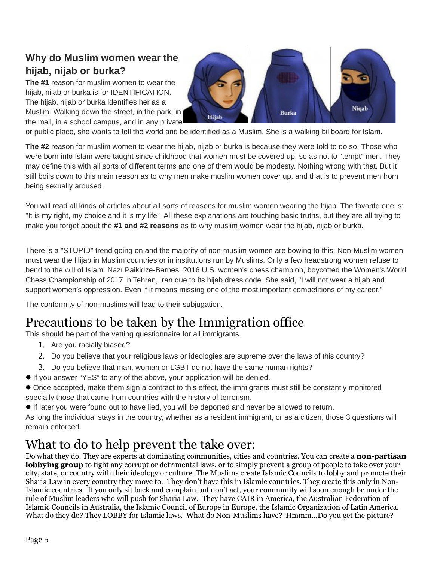### **Why do Muslim women wear the hijab, nijab or burka?**

**The #1** reason for muslim women to wear the hijab, nijab or burka is for IDENTIFICATION. The hijab, nijab or burka identifies her as a Muslim. Walking down the street, in the park, in the mall, in a school campus, and in any private



or public place, she wants to tell the world and be identified as a Muslim. She is a walking billboard for Islam.

**The #2** reason for muslim women to wear the hijab, nijab or burka is because they were told to do so. Those who were born into Islam were taught since childhood that women must be covered up, so as not to "tempt" men. They may define this with all sorts of different terms and one of them would be modesty. Nothing wrong with that. But it still boils down to this main reason as to why men make muslim women cover up, and that is to prevent men from being sexually aroused.

You will read all kinds of articles about all sorts of reasons for muslim women wearing the hijab. The favorite one is: "It is my right, my choice and it is my life". All these explanations are touching basic truths, but they are all trying to make you forget about the **#1 and #2 reasons** as to why muslim women wear the hijab, nijab or burka.

There is a "STUPID" trend going on and the majority of non-muslim women are bowing to this: Non-Muslim women must wear the Hijab in Muslim countries or in institutions run by Muslims. Only a few headstrong women refuse to bend to the will of Islam. Nazí Paikidze-Barnes, 2016 U.S. women's chess champion, boycotted the Women's World Chess Championship of 2017 in Tehran, Iran due to its hijab dress code. She said, "I will not wear a hijab and support women's oppression. Even if it means missing one of the most important competitions of my career."

The conformity of non-muslims will lead to their subjugation.

# Precautions to be taken by the Immigration office

This should be part of the vetting questionnaire for all immigrants.

- 1. Are you racially biased?
- 2. Do you believe that your religious laws or ideologies are supreme over the laws of this country?
- 3. Do you believe that man, woman or LGBT do not have the same human rights?
- If you answer "YES" to any of the above, your application will be denied.
- Once accepted, make them sign a contract to this effect, the immigrants must still be constantly monitored specially those that came from countries with the history of terrorism.
- If later you were found out to have lied, you will be deported and never be allowed to return.

As long the individual stays in the country, whether as a resident immigrant, or as a citizen, those 3 questions will remain enforced.

## What to do to help prevent the take over:

Do what they do. They are experts at dominating communities, cities and countries. You can create a **non-partisan lobbying group** to fight any corrupt or detrimental laws, or to simply prevent a group of people to take over your city, state, or country with their ideology or culture. The Muslims create Islamic Councils to lobby and promote their Sharia Law in every country they move to. They don't have this in Islamic countries. They create this only in Non-Islamic countries. If you only sit back and complain but don't act, your community will soon enough be under the rule of Muslim leaders who will push for Sharia Law. They have CAIR in America, the Australian Federation of Islamic Councils in Australia, the Islamic Council of Europe in Europe, the Islamic Organization of Latin America. What do they do? They LOBBY for Islamic laws. What do Non-Muslims have? Hmmm...Do you get the picture?